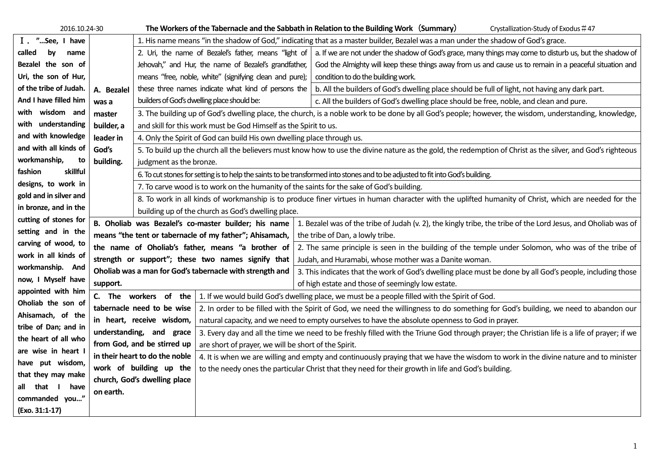| 2016.10.24-30          |                                                          |                                                                                                                                                             |                                                         | The Workers of the Tabernacle and the Sabbath in Relation to the Building Work (Summary)<br>Crystallization-Study of Exodus #47                                 |  |  |
|------------------------|----------------------------------------------------------|-------------------------------------------------------------------------------------------------------------------------------------------------------------|---------------------------------------------------------|-----------------------------------------------------------------------------------------------------------------------------------------------------------------|--|--|
| I . "See, I have       |                                                          |                                                                                                                                                             |                                                         | 1. His name means "in the shadow of God," indicating that as a master builder, Bezalel was a man under the shadow of God's grace.                               |  |  |
| called<br>by<br>name   |                                                          |                                                                                                                                                             |                                                         | 2. Uri, the name of Bezalel's father, means "light of   a. If we are not under the shadow of God's grace, many things may come to disturb us, but the shadow of |  |  |
| Bezalel the son of     |                                                          |                                                                                                                                                             | Jehovah," and Hur, the name of Bezalel's grandfather,   | God the Almighty will keep these things away from us and cause us to remain in a peaceful situation and                                                         |  |  |
| Uri, the son of Hur,   |                                                          |                                                                                                                                                             | means "free, noble, white" (signifying clean and pure); | condition to do the building work.                                                                                                                              |  |  |
| of the tribe of Judah. | A. Bezalel                                               |                                                                                                                                                             | these three names indicate what kind of persons the     | b. All the builders of God's dwelling place should be full of light, not having any dark part.                                                                  |  |  |
| And I have filled him  | was a                                                    |                                                                                                                                                             | builders of God's dwelling place should be:             | c. All the builders of God's dwelling place should be free, noble, and clean and pure.                                                                          |  |  |
| with wisdom and        | master                                                   | 3. The building up of God's dwelling place, the church, is a noble work to be done by all God's people; however, the wisdom, understanding, knowledge,      |                                                         |                                                                                                                                                                 |  |  |
| with understanding     | builder, a                                               | and skill for this work must be God Himself as the Spirit to us.                                                                                            |                                                         |                                                                                                                                                                 |  |  |
| and with knowledge     | leader in                                                | 4. Only the Spirit of God can build His own dwelling place through us.                                                                                      |                                                         |                                                                                                                                                                 |  |  |
| and with all kinds of  | God's                                                    | 5. To build up the church all the believers must know how to use the divine nature as the gold, the redemption of Christ as the silver, and God's righteous |                                                         |                                                                                                                                                                 |  |  |
| workmanship,<br>to     | building.                                                | judgment as the bronze.                                                                                                                                     |                                                         |                                                                                                                                                                 |  |  |
| skillful<br>fashion    |                                                          | 6. To cut stones for setting is to help the saints to be transformed into stones and to be adjusted to fit into God's building.                             |                                                         |                                                                                                                                                                 |  |  |
| designs, to work in    |                                                          | 7. To carve wood is to work on the humanity of the saints for the sake of God's building.                                                                   |                                                         |                                                                                                                                                                 |  |  |
| gold and in silver and |                                                          | 8. To work in all kinds of workmanship is to produce finer virtues in human character with the uplifted humanity of Christ, which are needed for the        |                                                         |                                                                                                                                                                 |  |  |
| in bronze, and in the  |                                                          | building up of the church as God's dwelling place.                                                                                                          |                                                         |                                                                                                                                                                 |  |  |
| cutting of stones for  | B. Oholiab was Bezalel's co-master builder; his name     |                                                                                                                                                             |                                                         | 1. Bezalel was of the tribe of Judah (v. 2), the kingly tribe, the tribe of the Lord Jesus, and Oholiab was of                                                  |  |  |
| setting and in the     | means "the tent or tabernacle of my father"; Ahisamach,  |                                                                                                                                                             |                                                         | the tribe of Dan, a lowly tribe.                                                                                                                                |  |  |
| carving of wood, to    | the name of Oholiab's father, means "a brother of        |                                                                                                                                                             |                                                         | 2. The same principle is seen in the building of the temple under Solomon, who was of the tribe of                                                              |  |  |
| work in all kinds of   | strength or support"; these two names signify that       |                                                                                                                                                             |                                                         | Judah, and Huramabi, whose mother was a Danite woman.                                                                                                           |  |  |
| workmanship. And       | Oholiab was a man for God's tabernacle with strength and |                                                                                                                                                             |                                                         | 3. This indicates that the work of God's dwelling place must be done by all God's people, including those                                                       |  |  |
| now, I Myself have     | support.                                                 |                                                                                                                                                             |                                                         | of high estate and those of seemingly low estate.                                                                                                               |  |  |
| appointed with him     |                                                          | C. The workers of the                                                                                                                                       |                                                         | 1. If we would build God's dwelling place, we must be a people filled with the Spirit of God.                                                                   |  |  |
| Oholiab the son of     |                                                          | tabernacle need to be wise                                                                                                                                  |                                                         | 2. In order to be filled with the Spirit of God, we need the willingness to do something for God's building, we need to abandon our                             |  |  |
| Ahisamach, of the      |                                                          | in heart, receive wisdom,                                                                                                                                   |                                                         | natural capacity, and we need to empty ourselves to have the absolute openness to God in prayer.                                                                |  |  |
| tribe of Dan; and in   |                                                          | understanding, and grace                                                                                                                                    |                                                         | 3. Every day and all the time we need to be freshly filled with the Triune God through prayer; the Christian life is a life of prayer; if we                    |  |  |
| the heart of all who   |                                                          | from God, and be stirred up                                                                                                                                 | are short of prayer, we will be short of the Spirit.    |                                                                                                                                                                 |  |  |
| are wise in heart I    |                                                          | in their heart to do the noble                                                                                                                              |                                                         | 4. It is when we are willing and empty and continuously praying that we have the wisdom to work in the divine nature and to minister                            |  |  |
| have put wisdom,       |                                                          | work of building up the                                                                                                                                     |                                                         | to the needy ones the particular Christ that they need for their growth in life and God's building.                                                             |  |  |
| that they may make     |                                                          | church, God's dwelling place                                                                                                                                |                                                         |                                                                                                                                                                 |  |  |
| all that I<br>have     | on earth.                                                |                                                                                                                                                             |                                                         |                                                                                                                                                                 |  |  |
| commanded you"         |                                                          |                                                                                                                                                             |                                                         |                                                                                                                                                                 |  |  |
| (Exo. 31:1-17)         |                                                          |                                                                                                                                                             |                                                         |                                                                                                                                                                 |  |  |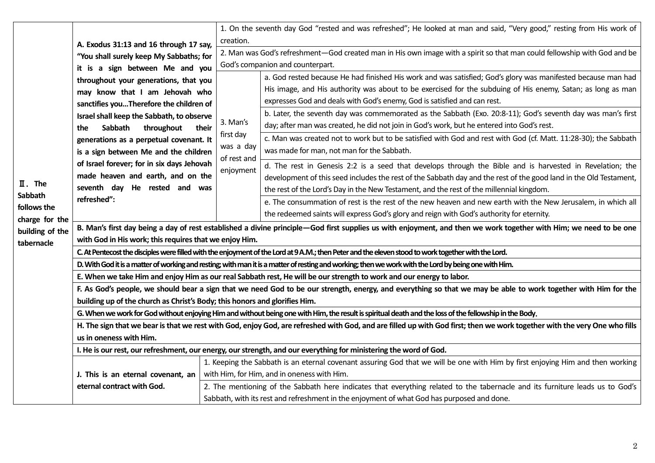| $\mathbf{I}$ . The<br>Sabbath<br>follows the<br>charge for the<br>building of the<br>tabernacle |                                                                                                                                                                           |                                                                                                                                                                               | 1. On the seventh day God "rested and was refreshed"; He looked at man and said, "Very good," resting from His work of        |  |  |
|-------------------------------------------------------------------------------------------------|---------------------------------------------------------------------------------------------------------------------------------------------------------------------------|-------------------------------------------------------------------------------------------------------------------------------------------------------------------------------|-------------------------------------------------------------------------------------------------------------------------------|--|--|
|                                                                                                 | A. Exodus 31:13 and 16 through 17 say,                                                                                                                                    | creation.                                                                                                                                                                     |                                                                                                                               |  |  |
|                                                                                                 | "You shall surely keep My Sabbaths; for                                                                                                                                   | 2. Man was God's refreshment-God created man in His own image with a spirit so that man could fellowship with God and be                                                      |                                                                                                                               |  |  |
|                                                                                                 | it is a sign between Me and you                                                                                                                                           | God's companion and counterpart.                                                                                                                                              |                                                                                                                               |  |  |
|                                                                                                 | throughout your generations, that you                                                                                                                                     | 3. Man's<br>first day<br>was a day<br>of rest and<br>enjoyment                                                                                                                | a. God rested because He had finished His work and was satisfied; God's glory was manifested because man had                  |  |  |
|                                                                                                 | may know that I am Jehovah who                                                                                                                                            |                                                                                                                                                                               | His image, and His authority was about to be exercised for the subduing of His enemy, Satan; as long as man                   |  |  |
|                                                                                                 | sanctifies youTherefore the children of                                                                                                                                   |                                                                                                                                                                               | expresses God and deals with God's enemy, God is satisfied and can rest.                                                      |  |  |
|                                                                                                 | Israel shall keep the Sabbath, to observe                                                                                                                                 |                                                                                                                                                                               | b. Later, the seventh day was commemorated as the Sabbath (Exo. 20:8-11); God's seventh day was man's first                   |  |  |
|                                                                                                 | Sabbath<br>throughout<br>their<br>the                                                                                                                                     |                                                                                                                                                                               | day; after man was created, he did not join in God's work, but he entered into God's rest.                                    |  |  |
|                                                                                                 | generations as a perpetual covenant. It                                                                                                                                   |                                                                                                                                                                               | c. Man was created not to work but to be satisfied with God and rest with God (cf. Matt. 11:28-30); the Sabbath               |  |  |
|                                                                                                 | is a sign between Me and the children                                                                                                                                     |                                                                                                                                                                               | was made for man, not man for the Sabbath.                                                                                    |  |  |
|                                                                                                 | of Israel forever; for in six days Jehovah                                                                                                                                |                                                                                                                                                                               | d. The rest in Genesis 2:2 is a seed that develops through the Bible and is harvested in Revelation; the                      |  |  |
|                                                                                                 | made heaven and earth, and on the                                                                                                                                         |                                                                                                                                                                               | development of this seed includes the rest of the Sabbath day and the rest of the good land in the Old Testament,             |  |  |
|                                                                                                 | seventh day He rested and was                                                                                                                                             |                                                                                                                                                                               | the rest of the Lord's Day in the New Testament, and the rest of the millennial kingdom.                                      |  |  |
|                                                                                                 | refreshed":                                                                                                                                                               |                                                                                                                                                                               | e. The consummation of rest is the rest of the new heaven and new earth with the New Jerusalem, in which all                  |  |  |
|                                                                                                 |                                                                                                                                                                           |                                                                                                                                                                               | the redeemed saints will express God's glory and reign with God's authority for eternity.                                     |  |  |
|                                                                                                 |                                                                                                                                                                           |                                                                                                                                                                               |                                                                                                                               |  |  |
|                                                                                                 | B. Man's first day being a day of rest established a divine principle–God first supplies us with enjoyment, and then we work together with Him; we need to be one         |                                                                                                                                                                               |                                                                                                                               |  |  |
|                                                                                                 | with God in His work; this requires that we enjoy Him.                                                                                                                    |                                                                                                                                                                               |                                                                                                                               |  |  |
|                                                                                                 | C. At Pentecost the disciples were filled with the enjoyment of the Lord at 9 A.M.; then Peter and the eleven stood to work together with the Lord.                       |                                                                                                                                                                               |                                                                                                                               |  |  |
|                                                                                                 | D. With God it is a matter of working and resting; with man it is a matter of resting and working; then we work with the Lord by being one with Him.                      |                                                                                                                                                                               |                                                                                                                               |  |  |
|                                                                                                 | E. When we take Him and enjoy Him as our real Sabbath rest, He will be our strength to work and our energy to labor.                                                      |                                                                                                                                                                               |                                                                                                                               |  |  |
|                                                                                                 | F. As God's people, we should bear a sign that we need God to be our strength, energy, and everything so that we may be able to work together with Him for the            |                                                                                                                                                                               |                                                                                                                               |  |  |
|                                                                                                 | building up of the church as Christ's Body; this honors and glorifies Him.                                                                                                |                                                                                                                                                                               |                                                                                                                               |  |  |
|                                                                                                 | G. When we work for God without enjoying Him and without being one with Him, the result is spiritual death and the loss of the fellowship in the Body.                    |                                                                                                                                                                               |                                                                                                                               |  |  |
|                                                                                                 | H. The sign that we bear is that we rest with God, enjoy God, are refreshed with God, and are filled up with God first; then we work together with the very One who fills |                                                                                                                                                                               |                                                                                                                               |  |  |
|                                                                                                 | us in oneness with Him.                                                                                                                                                   |                                                                                                                                                                               |                                                                                                                               |  |  |
|                                                                                                 | I. He is our rest, our refreshment, our energy, our strength, and our everything for ministering the word of God.                                                         |                                                                                                                                                                               |                                                                                                                               |  |  |
|                                                                                                 |                                                                                                                                                                           | 1. Keeping the Sabbath is an eternal covenant assuring God that we will be one with Him by first enjoying Him and then working<br>with Him, for Him, and in oneness with Him. |                                                                                                                               |  |  |
|                                                                                                 | J. This is an eternal covenant, an                                                                                                                                        |                                                                                                                                                                               |                                                                                                                               |  |  |
|                                                                                                 | eternal contract with God.                                                                                                                                                |                                                                                                                                                                               | 2. The mentioning of the Sabbath here indicates that everything related to the tabernacle and its furniture leads us to God's |  |  |
|                                                                                                 |                                                                                                                                                                           |                                                                                                                                                                               | Sabbath, with its rest and refreshment in the enjoyment of what God has purposed and done.                                    |  |  |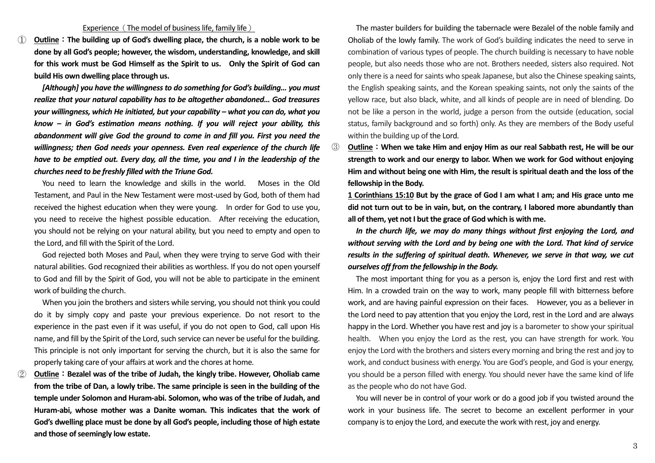① **Outline**:**The building up of God's dwelling place, the church, is a noble work to be done by all God's people; however, the wisdom, understanding, knowledge, and skill for this work must be God Himself as the Spirit to us. Only the Spirit of God can build His own dwelling place through us.**

*[Although] you have the willingness to do something for God's building… you must realize that your natural capability has to be altogether abandoned… God treasures your willingness, which He initiated, but your capability – what you can do, what you know – in God's estimation means nothing. If you will reject your ability, this abandonment will give God the ground to come in and fill you. First you need the willingness; then God needs your openness. Even real experience of the church life have to be emptied out. Every day, all the time, you and I in the leadership of the churches need to be freshly filled with the Triune God.* 

 You need to learn the knowledge and skills in the world. Moses in the Old Testament, and Paul in the New Testament were most-used by God, both of them had received the highest education when they were young. In order for God to use you, you need to receive the highest possible education. After receiving the education, you should not be relying on your natural ability, but you need to empty and open to the Lord, and fill with the Spirit of the Lord.

 God rejected both Moses and Paul, when they were trying to serve God with their natural abilities. God recognized their abilities as worthless. If you do not open yourself to God and fill by the Spirit of God, you will not be able to participate in the eminent work of building the church.

 When you join the brothers and sisters while serving, you should not think you could do it by simply copy and paste your previous experience. Do not resort to the experience in the past even if it was useful, if you do not open to God, call upon His name, and fill by the Spirit of the Lord, such service can never be useful for the building. This principle is not only important for serving the church, but it is also the same for properly taking care of your affairs at work and the chores at home.

② **Outline**:**Bezalel was of the tribe of Judah, the kingly tribe. However, Oholiab came from the tribe of Dan, a lowly tribe. The same principle is seen in the building of the temple under Solomon and Huram-abi. Solomon, who was of the tribe of Judah, and Huram-abi, whose mother was a Danite woman. This indicates that the work of God's dwelling place must be done by all God's people, including those of high estate and those of seemingly low estate.**

 The master builders for building the tabernacle were Bezalel of the noble family and Oholiab of the lowly family. The work of God's building indicates the need to serve in combination of various types of people. The church building is necessary to have noble people, but also needs those who are not. Brothers needed, sisters also required. Not only there is a need for saints who speak Japanese, but also the Chinese speaking saints, the English speaking saints, and the Korean speaking saints, not only the saints of the yellow race, but also black, white, and all kinds of people are in need of blending. Do not be like a person in the world, judge a person from the outside (education, social status, family background and so forth) only. As they are members of the Body useful within the building up of the Lord.

③ **Outline**:**When we take Him and enjoy Him as our real Sabbath rest, He will be our strength to work and our energy to labor. When we work for God without enjoying Him and without being one with Him, the result is spiritual death and the loss of the fellowship in the Body.** 

**1 Corinthians 15:10 But by the grace of God I am what I am; and His grace unto me did not turn out to be in vain, but, on the contrary, I labored more abundantly than all of them, yet not I but the grace of God which is with me.**

 *In the church life, we may do many things without first enjoying the Lord, and without serving with the Lord and by being one with the Lord. That kind of service results in the suffering of spiritual death. Whenever, we serve in that way, we cut ourselves off from the fellowship in the Body.*

 The most important thing for you as a person is, enjoy the Lord first and rest with Him. In a crowded train on the way to work, many people fill with bitterness before work, and are having painful expression on their faces. However, you as a believer in the Lord need to pay attention that you enjoy the Lord, rest in the Lord and are always happy in the Lord. Whether you have rest and joy is a barometer to show your spiritual health. When you enjoy the Lord as the rest, you can have strength for work. You enjoy the Lord with the brothers and sisters every morning and bring the rest and joy to work, and conduct business with energy. You are God's people, and God is your energy, you should be a person filled with energy. You should never have the same kind of life as the people who do not have God.

 You will never be in control of your work or do a good job if you twisted around the work in your business life. The secret to become an excellent performer in your company is to enjoy the Lord, and execute the work with rest, joy and energy.